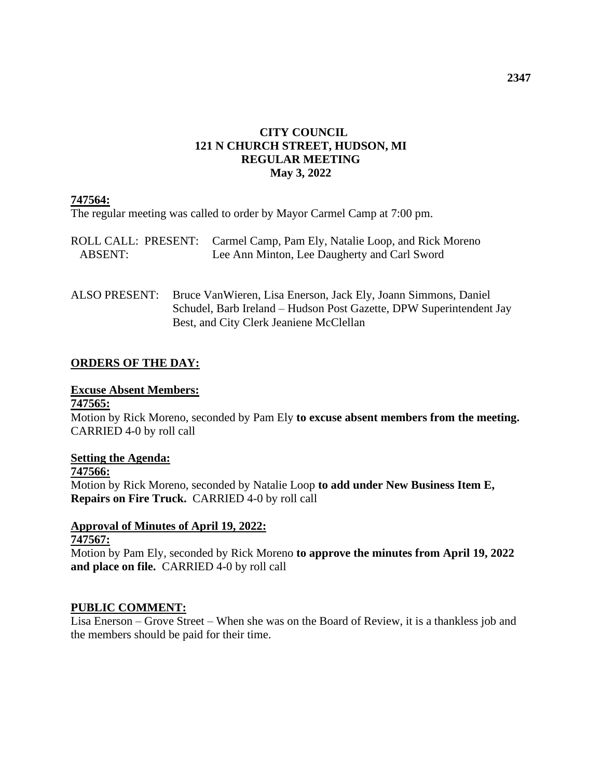### **CITY COUNCIL 121 N CHURCH STREET, HUDSON, MI REGULAR MEETING May 3, 2022**

### **747564:**

The regular meeting was called to order by Mayor Carmel Camp at 7:00 pm.

|         | ROLL CALL: PRESENT: Carmel Camp, Pam Ely, Natalie Loop, and Rick Moreno |
|---------|-------------------------------------------------------------------------|
| ABSENT: | Lee Ann Minton, Lee Daugherty and Carl Sword                            |

ALSO PRESENT: Bruce VanWieren, Lisa Enerson, Jack Ely, Joann Simmons, Daniel Schudel, Barb Ireland – Hudson Post Gazette, DPW Superintendent Jay Best, and City Clerk Jeaniene McClellan

### **ORDERS OF THE DAY:**

#### **Excuse Absent Members:**

#### **747565:**

Motion by Rick Moreno, seconded by Pam Ely **to excuse absent members from the meeting.**  CARRIED 4-0 by roll call

### **Setting the Agenda:**

**747566:**

Motion by Rick Moreno, seconded by Natalie Loop **to add under New Business Item E, Repairs on Fire Truck.** CARRIED 4-0 by roll call

### **Approval of Minutes of April 19, 2022:**

#### **747567:**

Motion by Pam Ely, seconded by Rick Moreno **to approve the minutes from April 19, 2022 and place on file.** CARRIED 4-0 by roll call

### **PUBLIC COMMENT:**

Lisa Enerson – Grove Street – When she was on the Board of Review, it is a thankless job and the members should be paid for their time.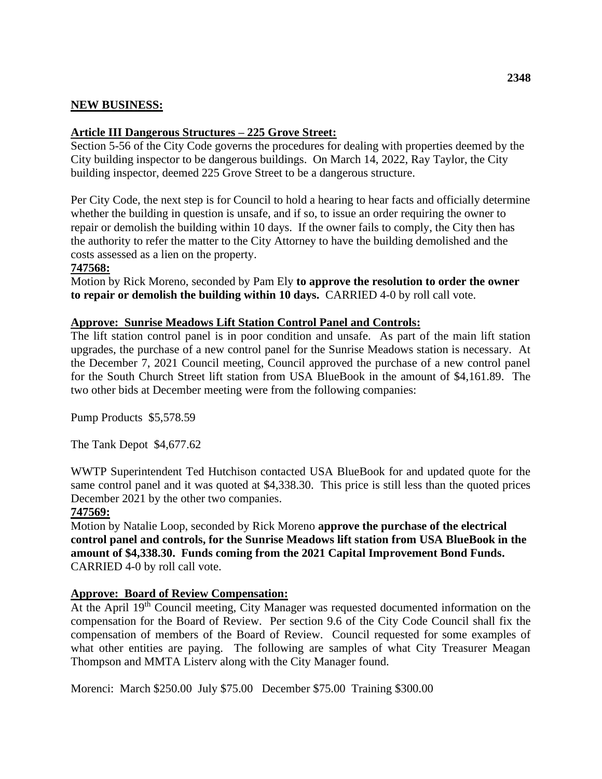### **NEW BUSINESS:**

### **Article III Dangerous Structures – 225 Grove Street:**

Section 5-56 of the City Code governs the procedures for dealing with properties deemed by the City building inspector to be dangerous buildings. On March 14, 2022, Ray Taylor, the City building inspector, deemed 225 Grove Street to be a dangerous structure.

Per City Code, the next step is for Council to hold a hearing to hear facts and officially determine whether the building in question is unsafe, and if so, to issue an order requiring the owner to repair or demolish the building within 10 days. If the owner fails to comply, the City then has the authority to refer the matter to the City Attorney to have the building demolished and the costs assessed as a lien on the property.

### **747568:**

Motion by Rick Moreno, seconded by Pam Ely **to approve the resolution to order the owner to repair or demolish the building within 10 days.** CARRIED 4-0 by roll call vote.

#### **Approve: Sunrise Meadows Lift Station Control Panel and Controls:**

The lift station control panel is in poor condition and unsafe. As part of the main lift station upgrades, the purchase of a new control panel for the Sunrise Meadows station is necessary. At the December 7, 2021 Council meeting, Council approved the purchase of a new control panel for the South Church Street lift station from USA BlueBook in the amount of \$4,161.89. The two other bids at December meeting were from the following companies:

Pump Products \$5,578.59

The Tank Depot \$4,677.62

WWTP Superintendent Ted Hutchison contacted USA BlueBook for and updated quote for the same control panel and it was quoted at \$4,338.30. This price is still less than the quoted prices December 2021 by the other two companies.

#### **747569:**

Motion by Natalie Loop, seconded by Rick Moreno **approve the purchase of the electrical control panel and controls, for the Sunrise Meadows lift station from USA BlueBook in the amount of \$4,338.30. Funds coming from the 2021 Capital Improvement Bond Funds.**  CARRIED 4-0 by roll call vote.

#### **Approve: Board of Review Compensation:**

At the April 19<sup>th</sup> Council meeting, City Manager was requested documented information on the compensation for the Board of Review. Per section 9.6 of the City Code Council shall fix the compensation of members of the Board of Review. Council requested for some examples of what other entities are paying. The following are samples of what City Treasurer Meagan Thompson and MMTA Listerv along with the City Manager found.

Morenci: March \$250.00 July \$75.00 December \$75.00 Training \$300.00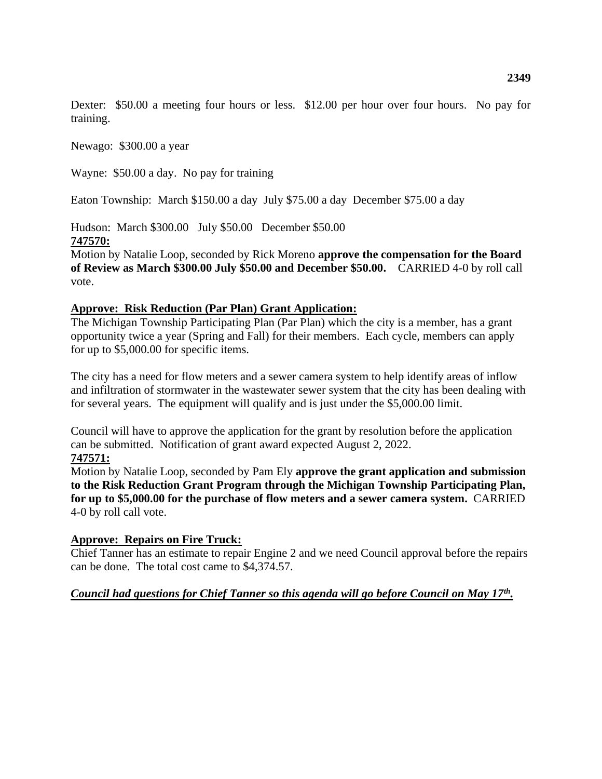Dexter: \$50.00 a meeting four hours or less. \$12.00 per hour over four hours. No pay for training.

Newago: \$300.00 a year

Wayne: \$50.00 a day. No pay for training

Eaton Township: March \$150.00 a day July \$75.00 a day December \$75.00 a day

Hudson: March \$300.00 July \$50.00 December \$50.00 **747570:**

Motion by Natalie Loop, seconded by Rick Moreno **approve the compensation for the Board of Review as March \$300.00 July \$50.00 and December \$50.00.** CARRIED 4-0 by roll call vote.

#### **Approve: Risk Reduction (Par Plan) Grant Application:**

The Michigan Township Participating Plan (Par Plan) which the city is a member, has a grant opportunity twice a year (Spring and Fall) for their members. Each cycle, members can apply for up to \$5,000.00 for specific items.

The city has a need for flow meters and a sewer camera system to help identify areas of inflow and infiltration of stormwater in the wastewater sewer system that the city has been dealing with for several years. The equipment will qualify and is just under the \$5,000.00 limit.

Council will have to approve the application for the grant by resolution before the application can be submitted. Notification of grant award expected August 2, 2022. **747571:**

Motion by Natalie Loop, seconded by Pam Ely **approve the grant application and submission to the Risk Reduction Grant Program through the Michigan Township Participating Plan, for up to \$5,000.00 for the purchase of flow meters and a sewer camera system.** CARRIED 4-0 by roll call vote.

#### **Approve: Repairs on Fire Truck:**

Chief Tanner has an estimate to repair Engine 2 and we need Council approval before the repairs can be done. The total cost came to \$4,374.57.

#### *Council had questions for Chief Tanner so this agenda will go before Council on May 17th .*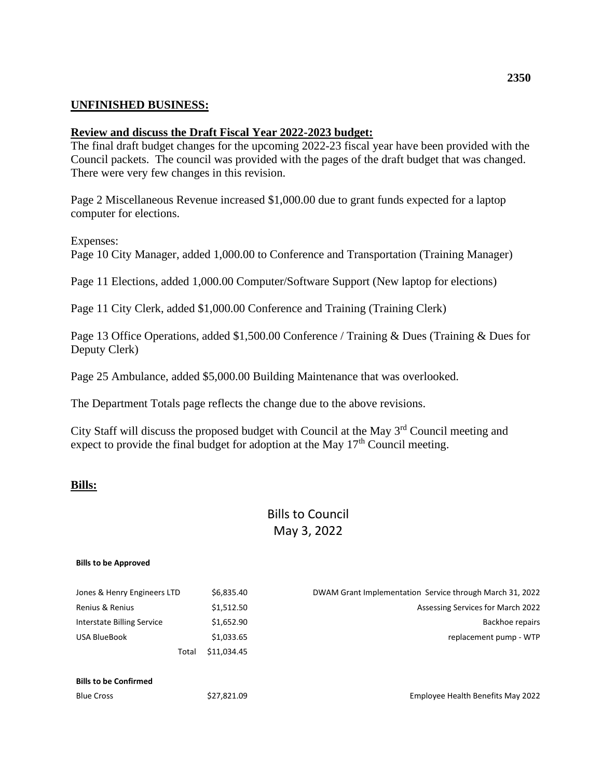### **UNFINISHED BUSINESS:**

#### **Review and discuss the Draft Fiscal Year 2022-2023 budget:**

The final draft budget changes for the upcoming 2022-23 fiscal year have been provided with the Council packets. The council was provided with the pages of the draft budget that was changed. There were very few changes in this revision.

Page 2 Miscellaneous Revenue increased \$1,000.00 due to grant funds expected for a laptop computer for elections.

Expenses:

Page 10 City Manager, added 1,000.00 to Conference and Transportation (Training Manager)

Page 11 Elections, added 1,000.00 Computer/Software Support (New laptop for elections)

Page 11 City Clerk, added \$1,000.00 Conference and Training (Training Clerk)

Page 13 Office Operations, added \$1,500.00 Conference / Training & Dues (Training & Dues for Deputy Clerk)

Page 25 Ambulance, added \$5,000.00 Building Maintenance that was overlooked.

The Department Totals page reflects the change due to the above revisions.

City Staff will discuss the proposed budget with Council at the May 3<sup>rd</sup> Council meeting and expect to provide the final budget for adoption at the May  $17<sup>th</sup>$  Council meeting.

#### **Bills:**

# Bills to Council May 3, 2022

#### **Bills to be Approved**

| Jones & Henry Engineers LTD  | \$6,835.40  | DWAM Grant Implementation Service through March 31, 2022 |
|------------------------------|-------------|----------------------------------------------------------|
| Renius & Renius              | \$1,512.50  | Assessing Services for March 2022                        |
| Interstate Billing Service   | \$1,652.90  | Backhoe repairs                                          |
| USA BlueBook                 | \$1,033.65  | replacement pump - WTP                                   |
| Total                        | \$11,034.45 |                                                          |
| <b>Bills to be Confirmed</b> |             |                                                          |
|                              |             |                                                          |
| <b>Blue Cross</b>            | \$27,821.09 | Employee Health Benefits May 2022                        |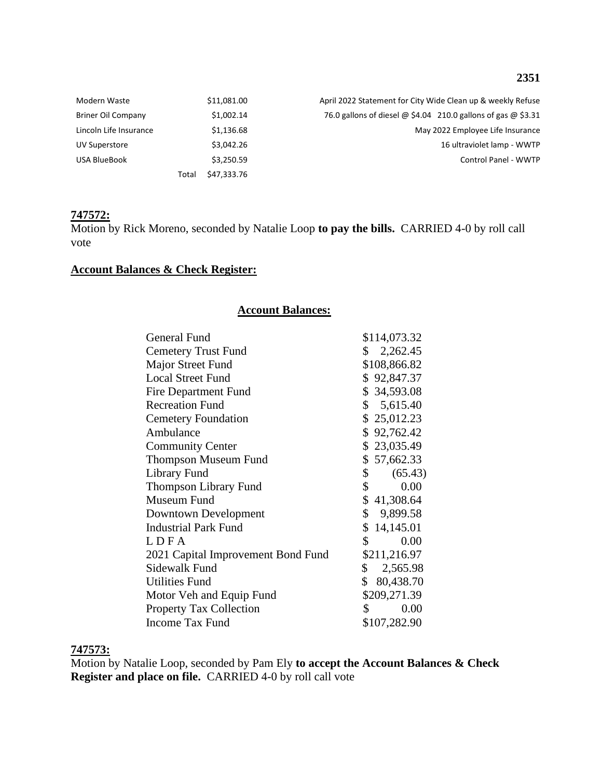### **2351**

| Modern Waste           |       | \$11,081.00 | April 2022 Statement for City Wide Clean up & weekly Refuse                 |
|------------------------|-------|-------------|-----------------------------------------------------------------------------|
| Briner Oil Company     |       | \$1,002.14  | 76.0 gallons of diesel $\omega$ \$4.04 210.0 gallons of gas $\omega$ \$3.31 |
| Lincoln Life Insurance |       | \$1,136.68  | May 2022 Employee Life Insurance                                            |
| <b>UV Superstore</b>   |       | \$3.042.26  | 16 ultraviolet lamp - WWTP                                                  |
| USA BlueBook           |       | \$3,250.59  | <b>Control Panel - WWTP</b>                                                 |
|                        | Total | \$47,333.76 |                                                                             |

#### **747572:**

Motion by Rick Moreno, seconded by Natalie Loop **to pay the bills.** CARRIED 4-0 by roll call vote

### **Account Balances & Check Register:**

#### **Account Balances:**

| General Fund                       | \$114,073.32           |
|------------------------------------|------------------------|
| <b>Cemetery Trust Fund</b>         | \$2,262.45             |
| Major Street Fund                  | \$108,866.82           |
| <b>Local Street Fund</b>           | \$92,847.37            |
| Fire Department Fund               | \$34,593.08            |
| <b>Recreation Fund</b>             | \$5,615.40             |
| <b>Cemetery Foundation</b>         | \$25,012.23            |
| Ambulance                          | \$92,762.42            |
| <b>Community Center</b>            | \$23,035.49            |
| <b>Thompson Museum Fund</b>        | \$57,662.33            |
| Library Fund                       | \$<br>(65.43)          |
| <b>Thompson Library Fund</b>       | $\frac{1}{2}$<br>0.00  |
| Museum Fund                        | \$41,308.64            |
| Downtown Development               | \$9,899.58             |
| <b>Industrial Park Fund</b>        | \$14,145.01            |
| LDFA                               | $\mathbb{S}^-$<br>0.00 |
| 2021 Capital Improvement Bond Fund | \$211,216.97           |
| Sidewalk Fund                      | \$2,565.98             |
| <b>Utilities Fund</b>              | \$ 80,438.70           |
| Motor Veh and Equip Fund           | \$209,271.39           |
| <b>Property Tax Collection</b>     | $\mathbb{S}$<br>0.00   |
| <b>Income Tax Fund</b>             | \$107,282.90           |

### **747573:**

Motion by Natalie Loop, seconded by Pam Ely **to accept the Account Balances & Check Register and place on file.** CARRIED 4-0 by roll call vote